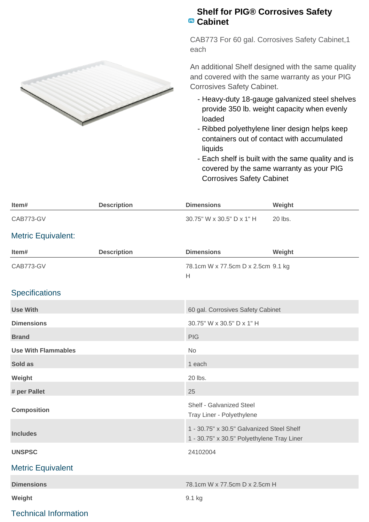

## **Shelf for PIG® Corrosives Safety Cabinet**

CAB773 For 60 gal. Corrosives Safety Cabinet,1 each

An additional Shelf designed with the same quality and covered with the same warranty as your PIG Corrosives Safety Cabinet.

- Heavy-duty 18-gauge galvanized steel shelves provide 350 lb. weight capacity when evenly loaded
- Ribbed polyethylene liner design helps keep containers out of contact with accumulated liquids
- Each shelf is built with the same quality and is covered by the same warranty as your PIG Corrosives Safety Cabinet

| Item#                        | <b>Description</b> | <b>Dimensions</b>                                                                       | Weight  |
|------------------------------|--------------------|-----------------------------------------------------------------------------------------|---------|
| CAB773-GV                    |                    | 30.75" W x 30.5" D x 1" H                                                               | 20 lbs. |
| <b>Metric Equivalent:</b>    |                    |                                                                                         |         |
| Item#                        | <b>Description</b> | <b>Dimensions</b>                                                                       | Weight  |
| CAB773-GV                    |                    | 78.1cm W x 77.5cm D x 2.5cm 9.1 kg<br>H                                                 |         |
| <b>Specifications</b>        |                    |                                                                                         |         |
| <b>Use With</b>              |                    | 60 gal. Corrosives Safety Cabinet                                                       |         |
| <b>Dimensions</b>            |                    | 30.75" W x 30.5" D x 1" H                                                               |         |
| <b>Brand</b>                 |                    | <b>PIG</b>                                                                              |         |
| <b>Use With Flammables</b>   |                    | <b>No</b>                                                                               |         |
| Sold as                      |                    | 1 each                                                                                  |         |
| Weight                       |                    | 20 lbs.                                                                                 |         |
| # per Pallet                 |                    | 25                                                                                      |         |
| <b>Composition</b>           |                    | Shelf - Galvanized Steel<br>Tray Liner - Polyethylene                                   |         |
| <b>Includes</b>              |                    | 1 - 30.75" x 30.5" Galvanized Steel Shelf<br>1 - 30.75" x 30.5" Polyethylene Tray Liner |         |
| <b>UNSPSC</b>                |                    | 24102004                                                                                |         |
| <b>Metric Equivalent</b>     |                    |                                                                                         |         |
| <b>Dimensions</b>            |                    | 78.1cm W x 77.5cm D x 2.5cm H                                                           |         |
| Weight                       |                    | 9.1 kg                                                                                  |         |
| <b>Technical Information</b> |                    |                                                                                         |         |